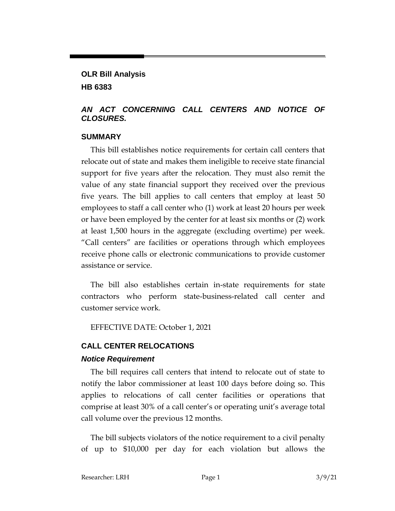# **OLR Bill Analysis HB 6383**

### *AN ACT CONCERNING CALL CENTERS AND NOTICE OF CLOSURES.*

#### **SUMMARY**

This bill establishes notice requirements for certain call centers that relocate out of state and makes them ineligible to receive state financial support for five years after the relocation. They must also remit the value of any state financial support they received over the previous five years. The bill applies to call centers that employ at least 50 employees to staff a call center who (1) work at least 20 hours per week or have been employed by the center for at least six months or (2) work at least 1,500 hours in the aggregate (excluding overtime) per week. "Call centers" are facilities or operations through which employees receive phone calls or electronic communications to provide customer assistance or service.

The bill also establishes certain in-state requirements for state contractors who perform state-business-related call center and customer service work.

EFFECTIVE DATE: October 1, 2021

# **CALL CENTER RELOCATIONS**

#### *Notice Requirement*

The bill requires call centers that intend to relocate out of state to notify the labor commissioner at least 100 days before doing so. This applies to relocations of call center facilities or operations that comprise at least 30% of a call center's or operating unit's average total call volume over the previous 12 months.

The bill subjects violators of the notice requirement to a civil penalty of up to \$10,000 per day for each violation but allows the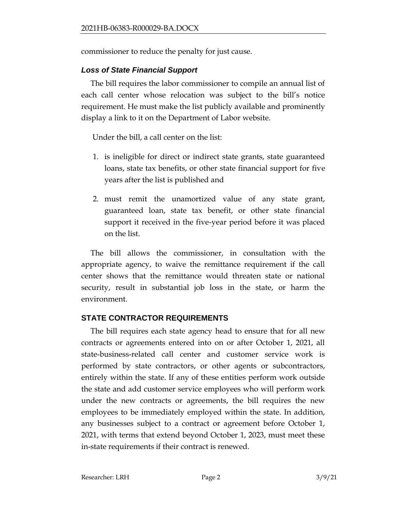commissioner to reduce the penalty for just cause.

### *Loss of State Financial Support*

The bill requires the labor commissioner to compile an annual list of each call center whose relocation was subject to the bill's notice requirement. He must make the list publicly available and prominently display a link to it on the Department of Labor website.

Under the bill, a call center on the list:

- 1. is ineligible for direct or indirect state grants, state guaranteed loans, state tax benefits, or other state financial support for five years after the list is published and
- 2. must remit the unamortized value of any state grant, guaranteed loan, state tax benefit, or other state financial support it received in the five-year period before it was placed on the list.

The bill allows the commissioner, in consultation with the appropriate agency, to waive the remittance requirement if the call center shows that the remittance would threaten state or national security, result in substantial job loss in the state, or harm the environment.

## **STATE CONTRACTOR REQUIREMENTS**

The bill requires each state agency head to ensure that for all new contracts or agreements entered into on or after October 1, 2021, all state-business-related call center and customer service work is performed by state contractors, or other agents or subcontractors, entirely within the state. If any of these entities perform work outside the state and add customer service employees who will perform work under the new contracts or agreements, the bill requires the new employees to be immediately employed within the state. In addition, any businesses subject to a contract or agreement before October 1, 2021, with terms that extend beyond October 1, 2023, must meet these in-state requirements if their contract is renewed.